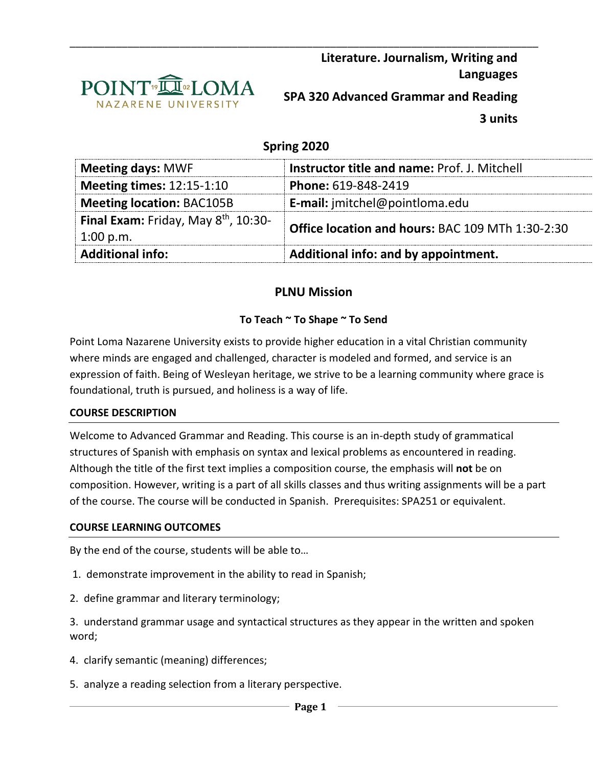

# **Spring 2020**

\_\_\_\_\_\_\_\_\_\_\_\_\_\_\_\_\_\_\_\_\_\_\_\_\_\_\_\_\_\_\_\_\_\_\_\_\_\_\_\_\_\_\_\_\_\_\_\_\_\_\_\_\_\_\_\_\_\_\_\_\_\_\_\_\_\_\_\_\_\_\_\_\_\_\_\_\_\_\_\_\_

| <b>Meeting days: MWF</b>                                        | <b>Instructor title and name: Prof. J. Mitchell</b>     |
|-----------------------------------------------------------------|---------------------------------------------------------|
| <b>Meeting times: 12:15-1:10</b>                                | Phone: 619-848-2419                                     |
| <b>Meeting location: BAC105B</b>                                | <b>E-mail:</b> jmitchel@pointloma.edu                   |
| Final Exam: Friday, May 8 <sup>th</sup> , 10:30-<br>$1:00$ p.m. | <b>Office location and hours: BAC 109 MTh 1:30-2:30</b> |
| <b>Additional info:</b>                                         | Additional info: and by appointment.                    |

# **PLNU Mission**

# **To Teach ~ To Shape ~ To Send**

Point Loma Nazarene University exists to provide higher education in a vital Christian community where minds are engaged and challenged, character is modeled and formed, and service is an expression of faith. Being of Wesleyan heritage, we strive to be a learning community where grace is foundational, truth is pursued, and holiness is a way of life.

## **COURSE DESCRIPTION**

Welcome to Advanced Grammar and Reading. This course is an in-depth study of grammatical structures of Spanish with emphasis on syntax and lexical problems as encountered in reading. Although the title of the first text implies a composition course, the emphasis will **not** be on composition. However, writing is a part of all skills classes and thus writing assignments will be a part of the course. The course will be conducted in Spanish. Prerequisites: SPA251 or equivalent.

### **COURSE LEARNING OUTCOMES**

By the end of the course, students will be able to…

- 1. demonstrate improvement in the ability to read in Spanish;
- 2. define grammar and literary terminology;

3. understand grammar usage and syntactical structures as they appear in the written and spoken word;

- 4. clarify semantic (meaning) differences;
- 5. analyze a reading selection from a literary perspective.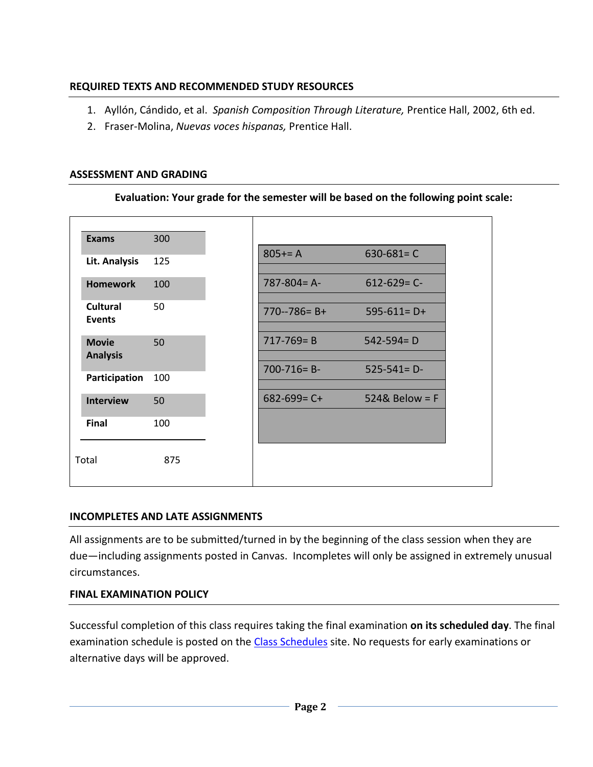# **REQUIRED TEXTS AND RECOMMENDED STUDY RESOURCES**

- 1. Ayllón, Cándido, et al. *Spanish Composition Through Literature,* Prentice Hall, 2002, 6th ed.
- 2. Fraser-Molina, *Nuevas voces hispanas,* Prentice Hall.

## **ASSESSMENT AND GRADING**

| <b>Exams</b>                     | 300 |                   |                        |
|----------------------------------|-----|-------------------|------------------------|
| Lit. Analysis                    | 125 | $805+=A$          | $630 - 681 = C$        |
| <b>Homework</b>                  | 100 | $787 - 804 = A$   | $612 - 629 = C$        |
| <b>Cultural</b><br><b>Events</b> | 50  | $770 - 786 = B +$ | $595-611=D+$           |
| <b>Movie</b><br><b>Analysis</b>  | 50  | $717 - 769 = B$   | $542 - 594 = D$        |
| Participation                    | 100 | $700 - 716 = B -$ | $525 - 541 = D$        |
| <b>Interview</b>                 | 50  | $682 - 699 = C +$ | $524&\text{Below} = F$ |
| Final                            | 100 |                   |                        |
| Total                            | 875 |                   |                        |

**Evaluation: Your grade for the semester will be based on the following point scale:**

## **INCOMPLETES AND LATE ASSIGNMENTS**

All assignments are to be submitted/turned in by the beginning of the class session when they are due—including assignments posted in Canvas. Incompletes will only be assigned in extremely unusual circumstances.

## **FINAL EXAMINATION POLICY**

Successful completion of this class requires taking the final examination **on its scheduled day**. The final examination schedule is posted on the [Class Schedules](http://www.pointloma.edu/experience/academics/class-schedules) site. No requests for early examinations or alternative days will be approved.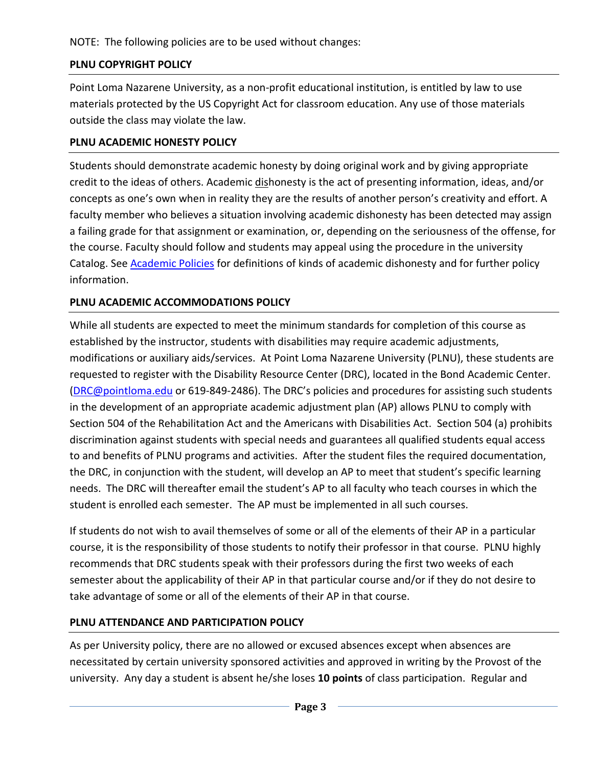NOTE: The following policies are to be used without changes:

# **PLNU COPYRIGHT POLICY**

Point Loma Nazarene University, as a non-profit educational institution, is entitled by law to use materials protected by the US Copyright Act for classroom education. Any use of those materials outside the class may violate the law.

# **PLNU ACADEMIC HONESTY POLICY**

Students should demonstrate academic honesty by doing original work and by giving appropriate credit to the ideas of others. Academic dishonesty is the act of presenting information, ideas, and/or concepts as one's own when in reality they are the results of another person's creativity and effort. A faculty member who believes a situation involving academic dishonesty has been detected may assign a failing grade for that assignment or examination, or, depending on the seriousness of the offense, for the course. Faculty should follow and students may appeal using the procedure in the university Catalog. See **Academic Policies** for definitions of kinds of academic dishonesty and for further policy information.

# **PLNU ACADEMIC ACCOMMODATIONS POLICY**

While all students are expected to meet the minimum standards for completion of this course as established by the instructor, students with disabilities may require academic adjustments, modifications or auxiliary aids/services. At Point Loma Nazarene University (PLNU), these students are requested to register with the Disability Resource Center (DRC), located in the Bond Academic Center. [\(DRC@pointloma.edu](mailto:DRC@pointloma.edu) or 619-849-2486). The DRC's policies and procedures for assisting such students in the development of an appropriate academic adjustment plan (AP) allows PLNU to comply with Section 504 of the Rehabilitation Act and the Americans with Disabilities Act. Section 504 (a) prohibits discrimination against students with special needs and guarantees all qualified students equal access to and benefits of PLNU programs and activities. After the student files the required documentation, the DRC, in conjunction with the student, will develop an AP to meet that student's specific learning needs. The DRC will thereafter email the student's AP to all faculty who teach courses in which the student is enrolled each semester. The AP must be implemented in all such courses.

If students do not wish to avail themselves of some or all of the elements of their AP in a particular course, it is the responsibility of those students to notify their professor in that course. PLNU highly recommends that DRC students speak with their professors during the first two weeks of each semester about the applicability of their AP in that particular course and/or if they do not desire to take advantage of some or all of the elements of their AP in that course.

# **PLNU ATTENDANCE AND PARTICIPATION POLICY**

As per University policy, there are no allowed or excused absences except when absences are necessitated by certain university sponsored activities and approved in writing by the Provost of the university. Any day a student is absent he/she loses **10 points** of class participation. Regular and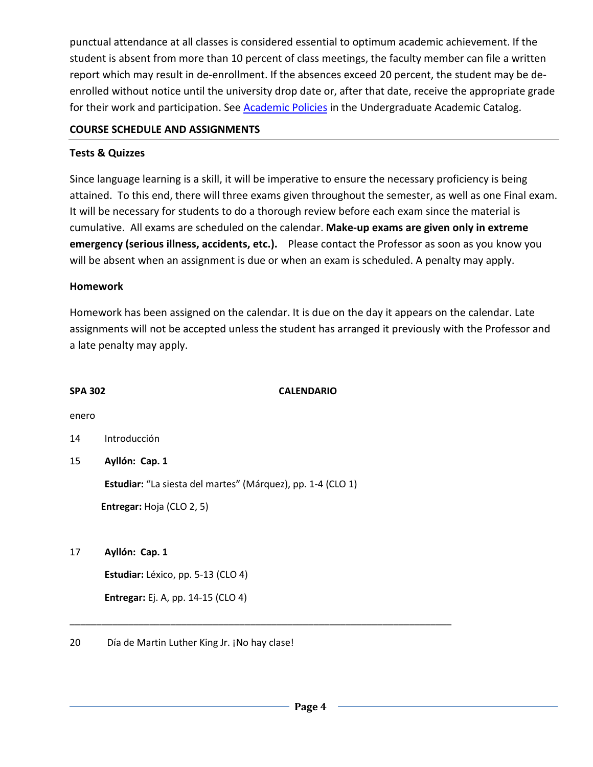punctual attendance at all classes is considered essential to optimum academic achievement. If the student is absent from more than 10 percent of class meetings, the faculty member can file a written report which may result in de-enrollment. If the absences exceed 20 percent, the student may be deenrolled without notice until the university drop date or, after that date, receive the appropriate grade for their work and participation. See **Academic Policies** in the Undergraduate Academic Catalog.

## **COURSE SCHEDULE AND ASSIGNMENTS**

## **Tests & Quizzes**

Since language learning is a skill, it will be imperative to ensure the necessary proficiency is being attained. To this end, there will three exams given throughout the semester, as well as one Final exam. It will be necessary for students to do a thorough review before each exam since the material is cumulative. All exams are scheduled on the calendar. **Make-up exams are given only in extreme emergency (serious illness, accidents, etc.).** Please contact the Professor as soon as you know you will be absent when an assignment is due or when an exam is scheduled. A penalty may apply.

## **Homework**

Homework has been assigned on the calendar. It is due on the day it appears on the calendar. Late assignments will not be accepted unless the student has arranged it previously with the Professor and a late penalty may apply.

### **SPA 302 CALENDARIO**

enero

- 14 Introducción
- 15 **Ayllón: Cap. 1**

**Estudiar:** "La siesta del martes" (Márquez), pp. 1-4 (CLO 1)

\_\_\_\_\_\_\_\_\_\_\_\_\_\_\_\_\_\_\_\_\_\_\_\_\_\_\_\_\_\_\_\_\_\_\_\_\_\_\_\_\_\_\_\_\_\_\_\_\_\_\_\_\_\_\_\_\_\_\_\_\_\_\_\_\_\_\_\_\_\_\_\_

**Entregar:** Hoja (CLO 2, 5)

17 **Ayllón: Cap. 1**

**Estudiar:** Léxico, pp. 5-13 (CLO 4)

**Entregar:** Ej. A, pp. 14-15 (CLO 4)

### 20 Día de Martin Luther King Jr. ¡No hay clase!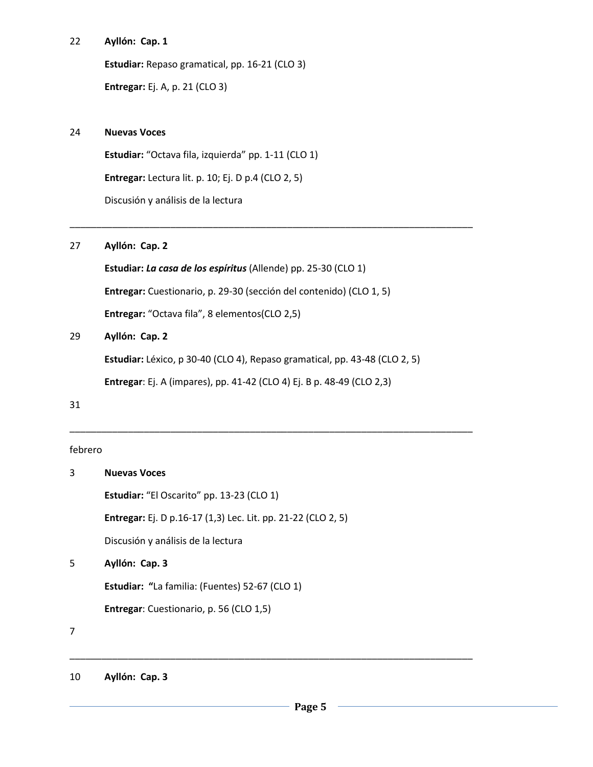#### 22 **Ayllón: Cap. 1**

**Estudiar:** Repaso gramatical, pp. 16-21 (CLO 3)

**Entregar:** Ej. A, p. 21 (CLO 3)

#### 24 **Nuevas Voces**

**Estudiar:** "Octava fila, izquierda" pp. 1-11 (CLO 1)

**Entregar:** Lectura lit. p. 10; Ej. D p.4 (CLO 2, 5)

Discusión y análisis de la lectura

### 27 **Ayllón: Cap. 2**

**Estudiar:** *La casa de los espíritus* (Allende) pp. 25-30 (CLO 1)

**Entregar:** Cuestionario, p. 29-30 (sección del contenido) (CLO 1, 5)

**Entregar:** "Octava fila", 8 elementos(CLO 2,5)

# 29 **Ayllón: Cap. 2**

**Estudiar:** Léxico, p 30-40 (CLO 4), Repaso gramatical, pp. 43-48 (CLO 2, 5)

\_\_\_\_\_\_\_\_\_\_\_\_\_\_\_\_\_\_\_\_\_\_\_\_\_\_\_\_\_\_\_\_\_\_\_\_\_\_\_\_\_\_\_\_\_\_\_\_\_\_\_\_\_\_\_\_\_\_\_\_\_\_\_\_\_\_\_\_\_\_\_\_\_\_\_\_

\_\_\_\_\_\_\_\_\_\_\_\_\_\_\_\_\_\_\_\_\_\_\_\_\_\_\_\_\_\_\_\_\_\_\_\_\_\_\_\_\_\_\_\_\_\_\_\_\_\_\_\_\_\_\_\_\_\_\_\_\_\_\_\_\_\_\_\_\_\_\_\_\_\_\_\_

\_\_\_\_\_\_\_\_\_\_\_\_\_\_\_\_\_\_\_\_\_\_\_\_\_\_\_\_\_\_\_\_\_\_\_\_\_\_\_\_\_\_\_\_\_\_\_\_\_\_\_\_\_\_\_\_\_\_\_\_\_\_\_\_\_\_\_\_\_\_\_\_\_\_\_\_

**Entregar**: Ej. A (impares), pp. 41-42 (CLO 4) Ej. B p. 48-49 (CLO 2,3)

### 31

### febrero

| 3 | <b>Nuevas Voces</b>                                          |
|---|--------------------------------------------------------------|
|   | Estudiar: "El Oscarito" pp. 13-23 (CLO 1)                    |
|   | Entregar: Ej. D p.16-17 (1,3) Lec. Lit. pp. 21-22 (CLO 2, 5) |
|   | Discusión y análisis de la lectura                           |
| 5 | Ayllón: Cap. 3                                               |
|   | <b>Estudiar: "La familia: (Fuentes) 52-67 (CLO 1)</b>        |
|   | <b>Entregar:</b> Cuestionario, p. 56 (CLO 1,5)               |
| 7 |                                                              |
|   |                                                              |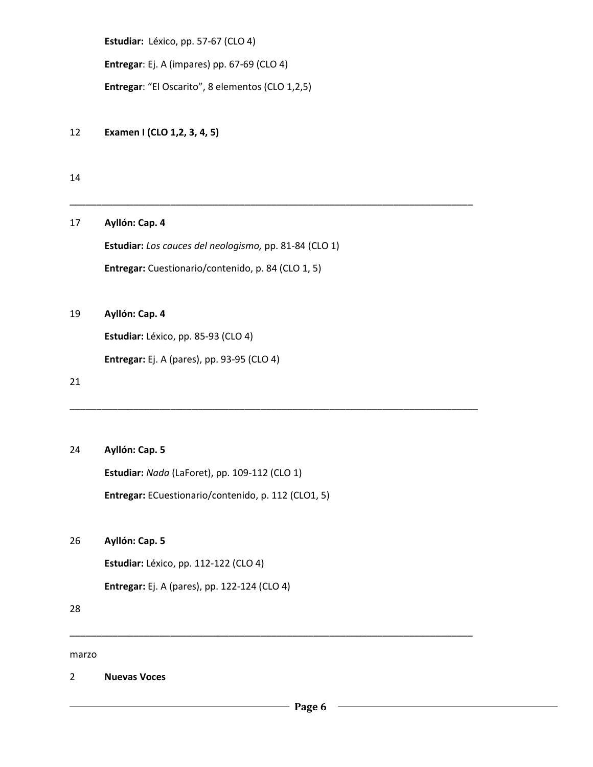**Estudiar:** Léxico, pp. 57-67 (CLO 4)

**Entregar**: Ej. A (impares) pp. 67-69 (CLO 4)

**Entregar**: "El Oscarito", 8 elementos (CLO 1,2,5)

12 **Examen I (CLO 1,2, 3, 4, 5)**

14

17 **Ayllón: Cap. 4**

**Estudiar:** *Los cauces del neologismo,* pp. 81-84 (CLO 1) **Entregar:** Cuestionario/contenido, p. 84 (CLO 1, 5)

\_\_\_\_\_\_\_\_\_\_\_\_\_\_\_\_\_\_\_\_\_\_\_\_\_\_\_\_\_\_\_\_\_\_\_\_\_\_\_\_\_\_\_\_\_\_\_\_\_\_\_\_\_\_\_\_\_\_\_\_\_\_\_\_\_\_\_\_\_\_\_\_\_\_\_\_

\_\_\_\_\_\_\_\_\_\_\_\_\_\_\_\_\_\_\_\_\_\_\_\_\_\_\_\_\_\_\_\_\_\_\_\_\_\_\_\_\_\_\_\_\_\_\_\_\_\_\_\_\_\_\_\_\_\_\_\_\_\_\_\_\_\_\_\_\_\_\_\_\_\_\_\_\_

\_\_\_\_\_\_\_\_\_\_\_\_\_\_\_\_\_\_\_\_\_\_\_\_\_\_\_\_\_\_\_\_\_\_\_\_\_\_\_\_\_\_\_\_\_\_\_\_\_\_\_\_\_\_\_\_\_\_\_\_\_\_\_\_\_\_\_\_\_\_\_\_\_\_\_\_

### 19 **Ayllón: Cap. 4**

**Estudiar:** Léxico, pp. 85-93 (CLO 4)

**Entregar:** Ej. A (pares), pp. 93-95 (CLO 4)

21

#### 24 **Ayllón: Cap. 5**

**Estudiar:** *Nada* (LaForet), pp. 109-112 (CLO 1)

**Entregar:** ECuestionario/contenido, p. 112 (CLO1, 5)

26 **Ayllón: Cap. 5**

**Estudiar:** Léxico, pp. 112-122 (CLO 4)

**Entregar:** Ej. A (pares), pp. 122-124 (CLO 4)

28

marzo

2 **Nuevas Voces**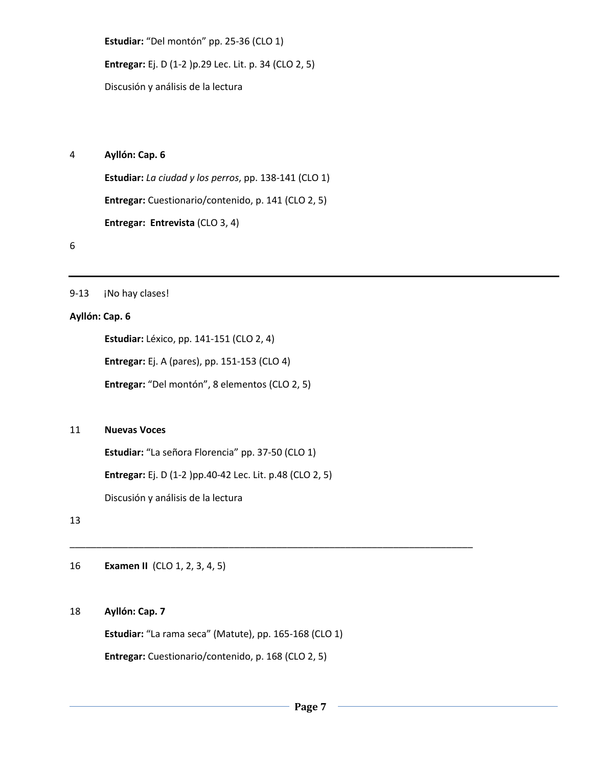**Estudiar:** "Del montón" pp. 25-36 (CLO 1) **Entregar:** Ej. D (1-2 )p.29 Lec. Lit. p. 34 (CLO 2, 5) Discusión y análisis de la lectura

#### 4 **Ayllón: Cap. 6**

**Estudiar:** *La ciudad y los perros*, pp. 138-141 (CLO 1) **Entregar:** Cuestionario/contenido, p. 141 (CLO 2, 5) **Entregar: Entrevista** (CLO 3, 4)

6

#### 9-13 **¡No hay clases!**

#### **Ayllón: Cap. 6**

**Estudiar:** Léxico, pp. 141-151 (CLO 2, 4)

**Entregar:** Ej. A (pares), pp. 151-153 (CLO 4)

**Entregar:** "Del montón", 8 elementos (CLO 2, 5)

#### 11 **Nuevas Voces**

**Estudiar:** "La señora Florencia" pp. 37-50 (CLO 1)

**Entregar:** Ej. D (1-2 )pp.40-42 Lec. Lit. p.48 (CLO 2, 5)

Discusión y análisis de la lectura

13

16 **Examen II** (CLO 1, 2, 3, 4, 5)

#### 18 **Ayllón: Cap. 7**

**Estudiar:** "La rama seca" (Matute), pp. 165-168 (CLO 1)

\_\_\_\_\_\_\_\_\_\_\_\_\_\_\_\_\_\_\_\_\_\_\_\_\_\_\_\_\_\_\_\_\_\_\_\_\_\_\_\_\_\_\_\_\_\_\_\_\_\_\_\_\_\_\_\_\_\_\_\_\_\_\_\_\_\_\_\_\_\_\_\_\_\_\_\_

**Entregar:** Cuestionario/contenido, p. 168 (CLO 2, 5)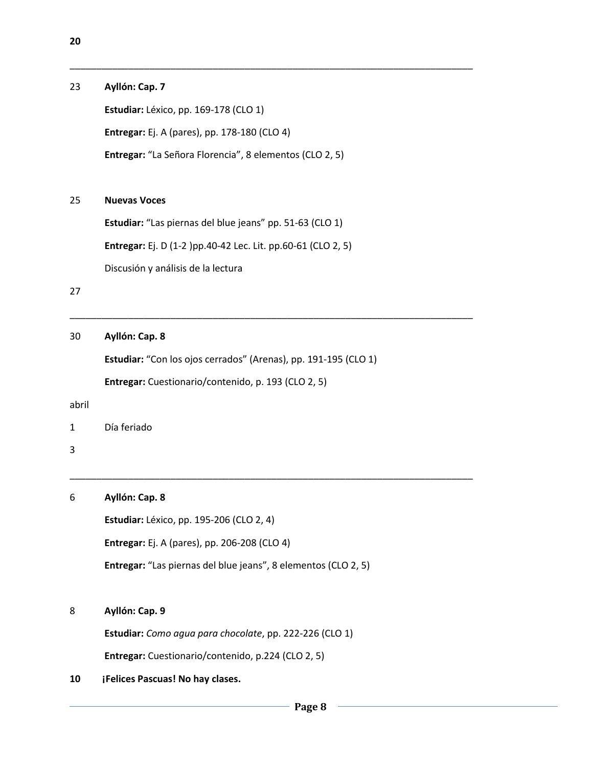| 23    | Ayllón: Cap. 7                                                  |  |  |  |  |  |
|-------|-----------------------------------------------------------------|--|--|--|--|--|
|       | Estudiar: Léxico, pp. 169-178 (CLO 1)                           |  |  |  |  |  |
|       | Entregar: Ej. A (pares), pp. 178-180 (CLO 4)                    |  |  |  |  |  |
|       | Entregar: "La Señora Florencia", 8 elementos (CLO 2, 5)         |  |  |  |  |  |
| 25    | <b>Nuevas Voces</b>                                             |  |  |  |  |  |
|       | Estudiar: "Las piernas del blue jeans" pp. 51-63 (CLO 1)        |  |  |  |  |  |
|       | Entregar: Ej. D (1-2 )pp.40-42 Lec. Lit. pp.60-61 (CLO 2, 5)    |  |  |  |  |  |
|       | Discusión y análisis de la lectura                              |  |  |  |  |  |
| 27    |                                                                 |  |  |  |  |  |
| 30    | Ayllón: Cap. 8                                                  |  |  |  |  |  |
|       | Estudiar: "Con los ojos cerrados" (Arenas), pp. 191-195 (CLO 1) |  |  |  |  |  |
|       | Entregar: Cuestionario/contenido, p. 193 (CLO 2, 5)             |  |  |  |  |  |
| abril |                                                                 |  |  |  |  |  |
| 1     | Día feriado                                                     |  |  |  |  |  |
| 3     |                                                                 |  |  |  |  |  |
| 6     | Ayllón: Cap. 8                                                  |  |  |  |  |  |
|       | Estudiar: Léxico, pp. 195-206 (CLO 2, 4)                        |  |  |  |  |  |
|       | Entregar: Ej. A (pares), pp. 206-208 (CLO 4)                    |  |  |  |  |  |
|       | Entregar: "Las piernas del blue jeans", 8 elementos (CLO 2, 5)  |  |  |  |  |  |
| 8     | Ayllón: Cap. 9                                                  |  |  |  |  |  |
|       | Estudiar: Como agua para chocolate, pp. 222-226 (CLO 1)         |  |  |  |  |  |
|       | Entregar: Cuestionario/contenido, p.224 (CLO 2, 5)              |  |  |  |  |  |

## **10 ¡Felices Pascuas! No hay clases.**